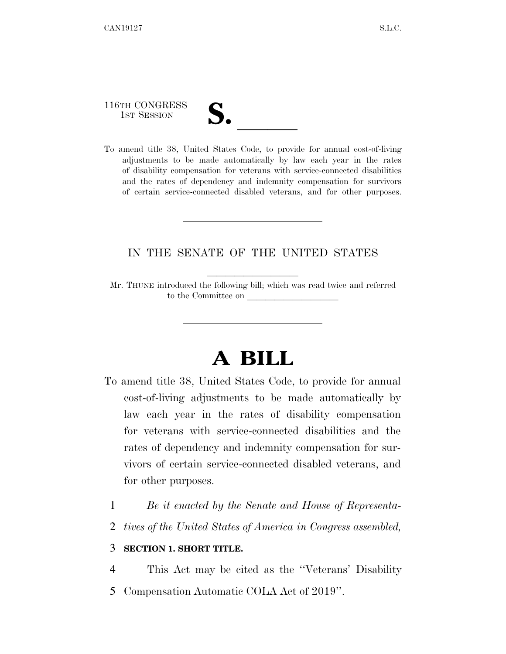116TH CONGRESS

116TH CONGRESS<br>
1ST SESSION<br>
To amend title 38, United States Code, to provide for annual cost-of-living adjustments to be made automatically by law each year in the rates of disability compensation for veterans with service-connected disabilities and the rates of dependency and indemnity compensation for survivors of certain service-connected disabled veterans, and for other purposes.

## IN THE SENATE OF THE UNITED STATES

Mr. THUNE introduced the following bill; which was read twice and referred to the Committee on

## **A BILL**

- To amend title 38, United States Code, to provide for annual cost-of-living adjustments to be made automatically by law each year in the rates of disability compensation for veterans with service-connected disabilities and the rates of dependency and indemnity compensation for survivors of certain service-connected disabled veterans, and for other purposes.
	- 1 *Be it enacted by the Senate and House of Representa-*
	- 2 *tives of the United States of America in Congress assembled,*

## 3 **SECTION 1. SHORT TITLE.**

4 This Act may be cited as the ''Veterans' Disability 5 Compensation Automatic COLA Act of 2019''.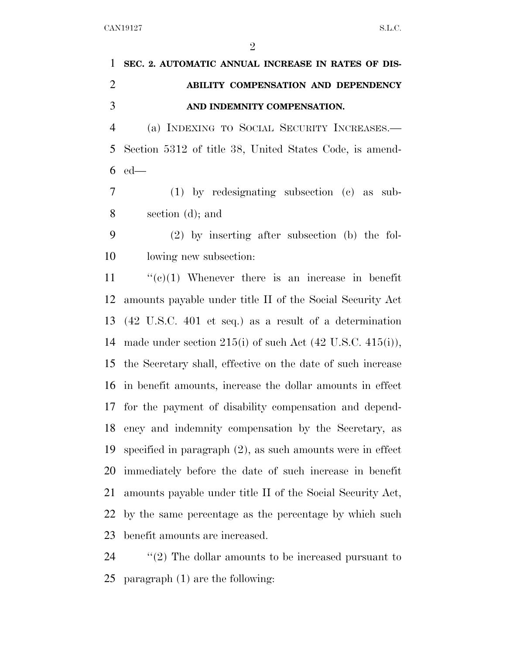|               | 1 SEC. 2. AUTOMATIC ANNUAL INCREASE IN RATES OF DIS- |
|---------------|------------------------------------------------------|
| $\mathcal{D}$ | ABILITY COMPENSATION AND DEPENDENCY                  |
|               | AND INDEMNITY COMPENSATION.                          |

 (a) INDEXING TO SOCIAL SECURITY INCREASES.— Section 5312 of title 38, United States Code, is amend-ed—

 (1) by redesignating subsection (c) as sub-section (d); and

 (2) by inserting after subsection (b) the fol-lowing new subsection:

 $\frac{1}{2}$  (c)(1) Whenever there is an increase in benefit amounts payable under title II of the Social Security Act (42 U.S.C. 401 et seq.) as a result of a determination 14 made under section  $215(i)$  of such Act  $(42 \text{ U.S.C. } 415(i)),$  the Secretary shall, effective on the date of such increase in benefit amounts, increase the dollar amounts in effect for the payment of disability compensation and depend- ency and indemnity compensation by the Secretary, as specified in paragraph (2), as such amounts were in effect immediately before the date of such increase in benefit amounts payable under title II of the Social Security Act, by the same percentage as the percentage by which such benefit amounts are increased.

24 "(2) The dollar amounts to be increased pursuant to paragraph (1) are the following: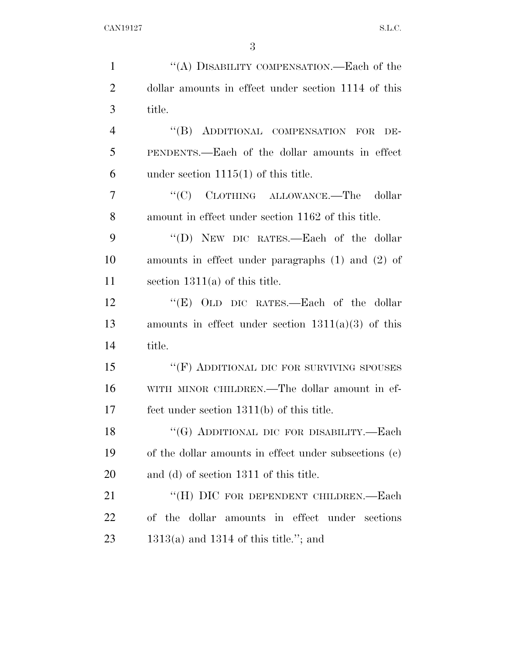| $\mathbf{1}$   | "(A) DISABILITY COMPENSATION.—Each of the             |
|----------------|-------------------------------------------------------|
| $\overline{2}$ | dollar amounts in effect under section 1114 of this   |
| 3              | title.                                                |
| $\overline{4}$ | "(B) ADDITIONAL COMPENSATION FOR<br>DE-               |
| 5              | PENDENTS.—Each of the dollar amounts in effect        |
| 6              | under section $1115(1)$ of this title.                |
| 7              | "(C) CLOTHING ALLOWANCE.—The dollar                   |
| 8              | amount in effect under section 1162 of this title.    |
| 9              | "(D) NEW DIC RATES.—Each of the dollar                |
| 10             | amounts in effect under paragraphs $(1)$ and $(2)$ of |
| 11             | section $1311(a)$ of this title.                      |
| 12             | "(E) OLD DIC RATES.—Each of the dollar                |
| 13             | amounts in effect under section $1311(a)(3)$ of this  |
| 14             | title.                                                |
| 15             | "(F) ADDITIONAL DIC FOR SURVIVING SPOUSES             |
| 16             | WITH MINOR CHILDREN.—The dollar amount in ef-         |
| 17             | fect under section $1311(b)$ of this title.           |
| 18             | "(G) ADDITIONAL DIC FOR DISABILITY.—Each              |
| 19             | of the dollar amounts in effect under subsections (c) |
| 20             | and (d) of section 1311 of this title.                |
| 21             | "(H) DIC FOR DEPENDENT CHILDREN.—Each                 |
| 22             | of the dollar<br>amounts in effect under sections     |
| 23             | $1313(a)$ and 1314 of this title."; and               |
|                |                                                       |